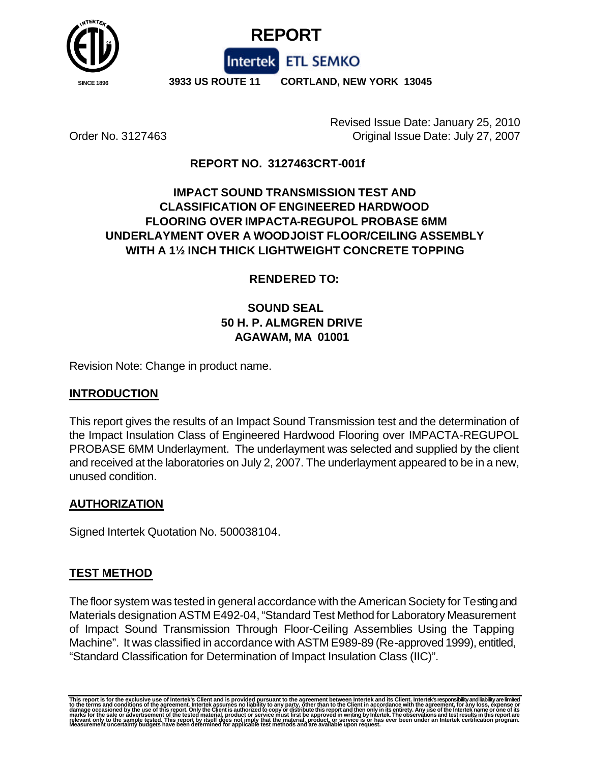



 **SINCE 1896 3933 US ROUTE 11 CORTLAND, NEW YORK 13045**

Intertek ETL SEMKO

Revised Issue Date: January 25, 2010 Order No. 3127463 Original Issue Date: July 27, 2007

## **REPORT NO. 3127463CRT-001f**

# **IMPACT SOUND TRANSMISSION TEST AND CLASSIFICATION OF ENGINEERED HARDWOOD FLOORING OVER IMPACTA-REGUPOL PROBASE 6MM UNDERLAYMENT OVER A WOODJOIST FLOOR/CEILING ASSEMBLY WITH A 1½ INCH THICK LIGHTWEIGHT CONCRETE TOPPING**

### **RENDERED TO:**

# **SOUND SEAL 50 H. P. ALMGREN DRIVE AGAWAM, MA 01001**

Revision Note: Change in product name.

#### **INTRODUCTION**

This report gives the results of an Impact Sound Transmission test and the determination of the Impact Insulation Class of Engineered Hardwood Flooring over IMPACTA-REGUPOL PROBASE 6MM Underlayment. The underlayment was selected and supplied by the client and received at the laboratories on July 2, 2007. The underlayment appeared to be in a new, unused condition.

#### **AUTHORIZATION**

Signed Intertek Quotation No. 500038104.

#### **TEST METHOD**

The floor system was tested in general accordance with the American Society for Testing and Materials designation ASTM E492-04, "Standard Test Method for Laboratory Measurement of Impact Sound Transmission Through Floor-Ceiling Assemblies Using the Tapping Machine". It was classified in accordance with ASTM E989-89 (Re-approved 1999), entitled, "Standard Classification for Determination of Impact Insulation Class (IIC)".

This report is for the exclusive use of Intertek's Client and is provided pursuant to the agreement between Intertek and its Client. Intertek's responsibility and liability are limited<br>to the terms and conditions of the ag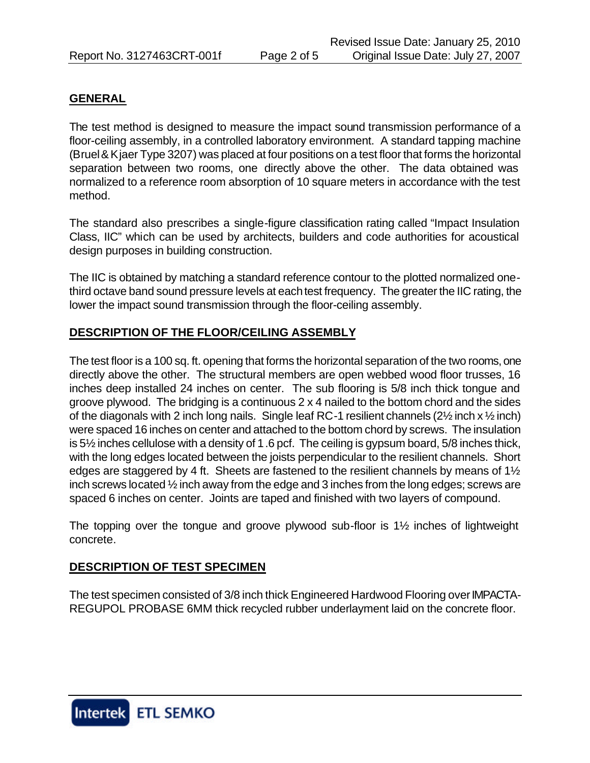#### **GENERAL**

The test method is designed to measure the impact sound transmission performance of a floor-ceiling assembly, in a controlled laboratory environment. A standard tapping machine (Bruel & Kjaer Type 3207) was placed at four positions on a test floor that forms the horizontal separation between two rooms, one directly above the other. The data obtained was normalized to a reference room absorption of 10 square meters in accordance with the test method.

The standard also prescribes a single-figure classification rating called "Impact Insulation Class, IIC" which can be used by architects, builders and code authorities for acoustical design purposes in building construction.

The IIC is obtained by matching a standard reference contour to the plotted normalized onethird octave band sound pressure levels at each test frequency. The greater the IIC rating, the lower the impact sound transmission through the floor-ceiling assembly.

### **DESCRIPTION OF THE FLOOR/CEILING ASSEMBLY**

The test floor is a 100 sq. ft. opening that forms the horizontal separation of the two rooms, one directly above the other. The structural members are open webbed wood floor trusses, 16 inches deep installed 24 inches on center. The sub flooring is 5/8 inch thick tongue and groove plywood. The bridging is a continuous 2 x 4 nailed to the bottom chord and the sides of the diagonals with 2 inch long nails. Single leaf RC-1 resilient channels  $(2\frac{1}{2}$  inch  $x\frac{1}{2}$  inch) were spaced 16 inches on center and attached to the bottom chord by screws. The insulation is 5½ inches cellulose with a density of 1.6 pcf. The ceiling is gypsum board, 5/8 inches thick, with the long edges located between the joists perpendicular to the resilient channels. Short edges are staggered by 4 ft. Sheets are fastened to the resilient channels by means of 1½ inch screws located ½ inch away from the edge and 3 inches from the long edges; screws are spaced 6 inches on center. Joints are taped and finished with two layers of compound.

The topping over the tongue and groove plywood sub-floor is 1½ inches of lightweight concrete.

### **DESCRIPTION OF TEST SPECIMEN**

The test specimen consisted of 3/8 inch thick Engineered Hardwood Flooring over IMPACTA-REGUPOL PROBASE 6MM thick recycled rubber underlayment laid on the concrete floor.

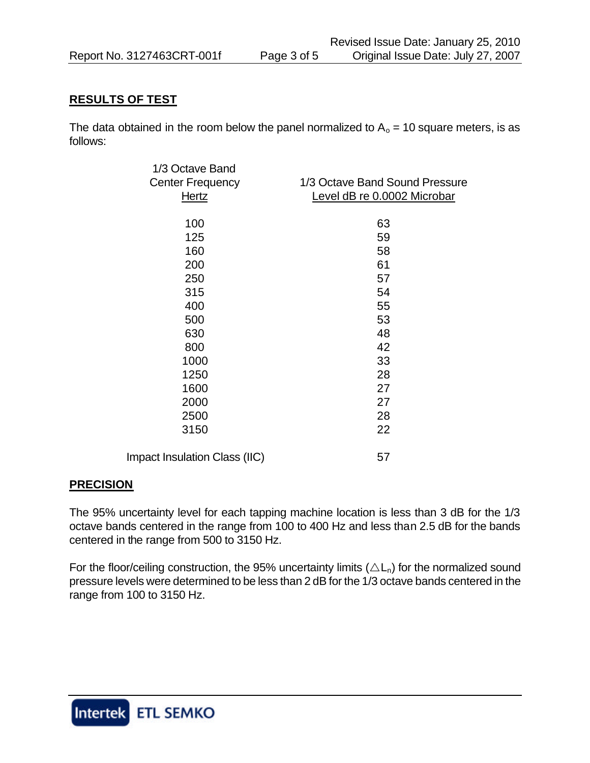### **RESULTS OF TEST**

The data obtained in the room below the panel normalized to  $A_0 = 10$  square meters, is as follows:

| 1/3 Octave Band               |                                |
|-------------------------------|--------------------------------|
| <b>Center Frequency</b>       | 1/3 Octave Band Sound Pressure |
| Hertz                         | Level dB re 0.0002 Microbar    |
|                               |                                |
| 100                           | 63                             |
| 125                           | 59                             |
| 160                           | 58                             |
| 200                           | 61                             |
| 250                           | 57                             |
| 315                           | 54                             |
| 400                           | 55                             |
| 500                           | 53                             |
| 630                           | 48                             |
| 800                           | 42                             |
| 1000                          | 33                             |
| 1250                          | 28                             |
| 1600                          | 27                             |
| 2000                          | 27                             |
| 2500                          | 28                             |
| 3150                          | 22                             |
| Impact Insulation Class (IIC) | 57                             |

### **PRECISION**

The 95% uncertainty level for each tapping machine location is less than 3 dB for the 1/3 octave bands centered in the range from 100 to 400 Hz and less than 2.5 dB for the bands centered in the range from 500 to 3150 Hz.

For the floor/ceiling construction, the 95% uncertainty limits ( $\triangle L_n$ ) for the normalized sound pressure levels were determined to be less than 2 dB for the 1/3 octave bands centered in the range from 100 to 3150 Hz.

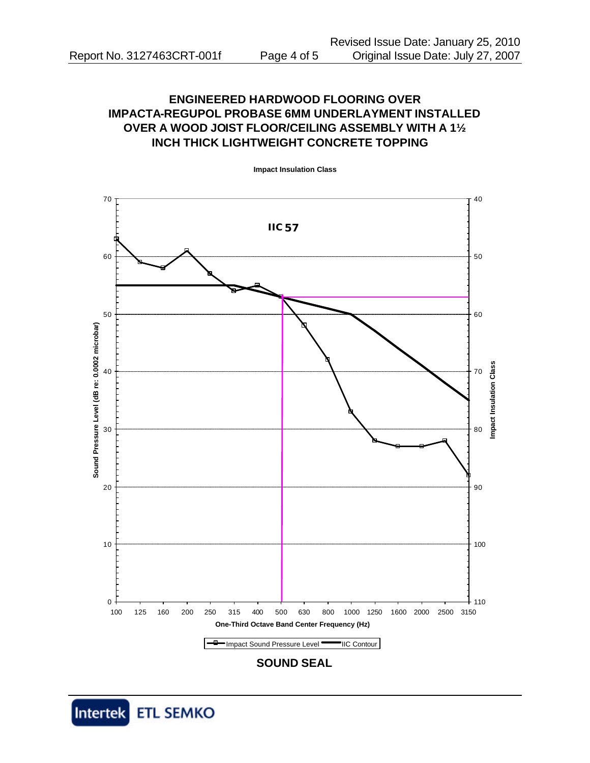# **ENGINEERED HARDWOOD FLOORING OVER IMPACTA-REGUPOL PROBASE 6MM UNDERLAYMENT INSTALLED OVER A WOOD JOIST FLOOR/CEILING ASSEMBLY WITH A 1½ INCH THICK LIGHTWEIGHT CONCRETE TOPPING**



**Impact Insulation Class**

**SOUND SEAL**